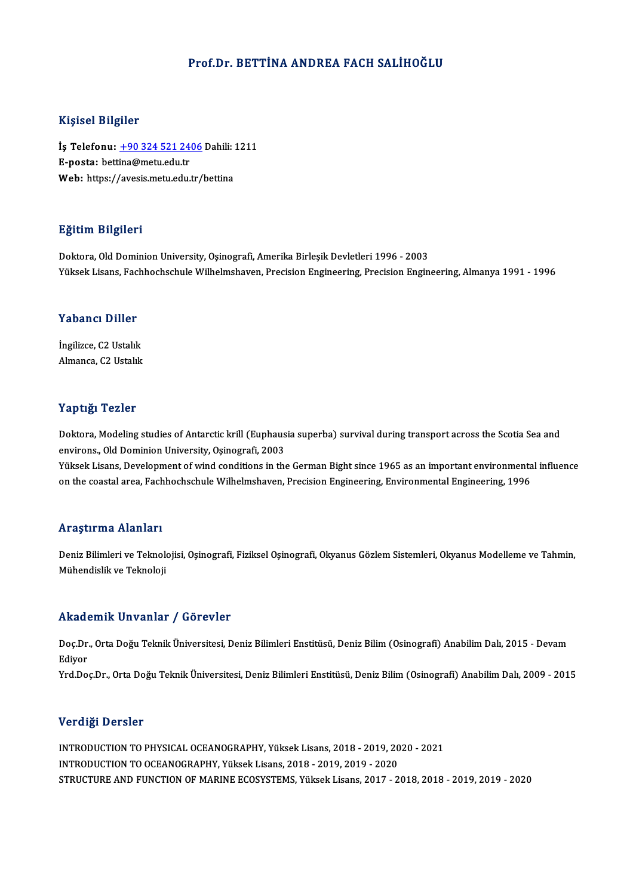### Prof.Dr. BETTİNA ANDREA FACH SALİHOĞLU

### Kişisel Bilgiler

Kişisel Bilgiler<br>İş Telefonu: <u>+90 324 521 2406</u> Dahili: 1211<br>E nosta: bettina@metu.edu.tr 11131001 21151101<br>İş Telefonu: <u>+90 324 521 24</u><br>E-posta: bett[ina@metu.edu.tr](tel:+90 324 521 2406) İş Telefonu: <u>+90 324 521 2406</u> Dahili: <br>E-posta: bettina@metu.edu.tr<br>Web: https://avesis.metu.edu.tr/bettina Web: https://avesis.metu.edu.tr/bettina<br>Eğitim Bilgileri

Doktora, Old Dominion University, Oşinografi, Amerika Birleşik Devletleri 1996 - 2003 Yüksek Lisans, Fachhochschule Wilhelmshaven, Precision Engineering, Precision Engineering, Almanya 1991 - 1996

# ruksek Lisans, racı<br>Yabancı Diller

**Yabancı Diller<br>İngilizce, C2 Ustalık**<br>Almanga *C*2 Ustalık İngilizce, C2 Ustalık<br>Almanca, C2 Ustalık

### Yaptığı Tezler

Yaptığı Tezler<br>Doktora, Modeling studies of Antarctic krill (Euphausia superba) survival during transport across the Scotia Sea and<br>environs, Old Dominion University Osinografi, 2002 en pengensions.<br>Doktora, Modeling studies of Antarctic krill (Euphaus<br>environs., Old Dominion University, Oşinografi, 2003<br>Vülgek Lisans. Dovelopment of wind conditions in the environs., Old Dominion University, Oşinografi, 2003<br>Yüksek Lisans, Development of wind conditions in the German Bight since 1965 as an important environmental influence

on the coastal area, Fachhochschule Wilhelmshaven, Precision Engineering, Environmental Engineering, 1996

### Araştırma Alanları

Araştırma Alanları<br>Deniz Bilimleri ve Teknolojisi, Oşinografi, Fiziksel Oşinografi, Okyanus Gözlem Sistemleri, Okyanus Modelleme ve Tahmin,<br>Mühandialik ve Teknoloji ma se ma mandari<br>Deniz Bilimleri ve Teknolo<br>Mühendislik ve Teknoloji

# Mühendislik ve Teknoloji<br>Akademik Unvanlar / Görevler

**Akademik Unvanlar / Görevler**<br>Doç.Dr., Orta Doğu Teknik Üniversitesi, Deniz Bilimleri Enstitüsü, Deniz Bilim (Osinografi) Anabilim Dalı, 2015 - Devam<br>Ediyor nnaa<br>Doç.Dr<br>Ediyor<br><sup>Vrd.Do</sup> Ediyor<br>Yrd.Doç.Dr., Orta Doğu Teknik Üniversitesi, Deniz Bilimleri Enstitüsü, Deniz Bilim (Osinografi) Anabilim Dalı, 2009 - 2015

### Verdiği Dersler

Verdiği Dersler<br>INTRODUCTION TO PHYSICAL OCEANOGRAPHY, Yüksek Lisans, 2018 - 2019, 2020 - 2021<br>INTRODUCTION TO OCEANOCRAPHY, Yüksek Lisans, 2019, 2019, 2019, 2020 VOLTIST DOLDIOI<br>INTRODUCTION TO PHYSICAL OCEANOGRAPHY, Yüksek Lisans, 2018 - 2019, 20<br>INTRODUCTION TO OCEANOGRAPHY, Yüksek Lisans, 2018 - 2019, 2019 - 2020<br>STRUCTURE AND FUNCTION OF MARINE ECOSYSTEMS, Vülgek Lisans, 2017 INTRODUCTION TO OCEANOGRAPHY, Yüksek Lisans, 2018 - 2019, 2019 - 2020<br>STRUCTURE AND FUNCTION OF MARINE ECOSYSTEMS, Yüksek Lisans, 2017 - 2018, 2018 - 2019, 2019 - 2020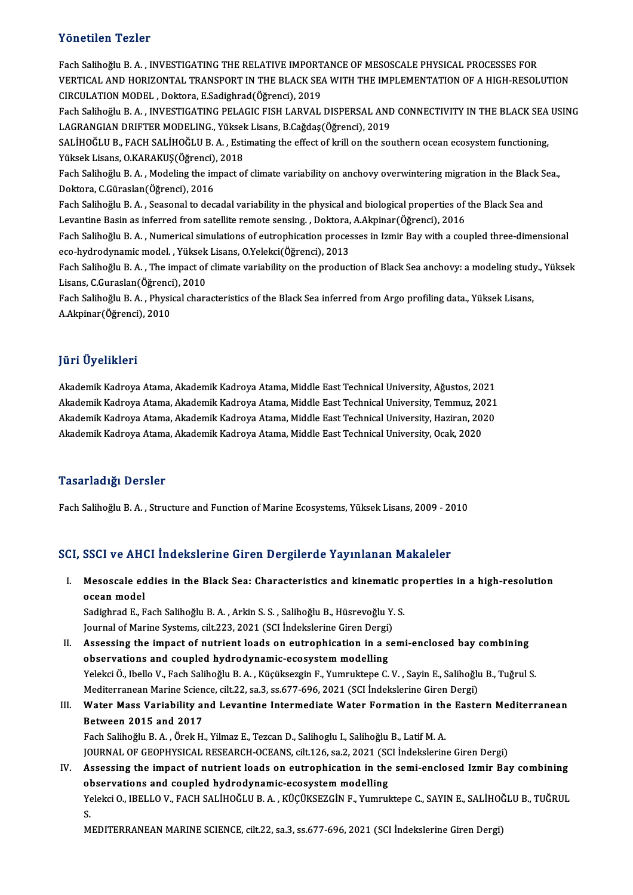### Yönetilen Tezler

Yönetilen Tezler<br>Fach Salihoğlu B.A. , INVESTIGATING THE RELATIVE IMPORTANCE OF MESOSCALE PHYSICAL PROCESSES FOR<br>VERTICAL AND HORIZONTAL TRANSPORT IN THE BLACK SEA WITH THE IMPLEMENTATION OF A HIGH RESOL Y ONCENCH Y CHICI<br>Fach Salihoğlu B. A. , INVESTIGATING THE RELATIVE IMPORTANCE OF MESOSCALE PHYSICAL PROCESSES FOR<br>VERTICAL AND HORIZONTAL TRANSPORT IN THE BLACK SEA WITH THE IMPLEMENTATION OF A HIGH-RESOLUTION VERTICAL AND HORIZONTAL TRANSPORT IN THE BLACK SEA WITH THE IMPLEMENTATION OF A HIGH-RESOLUTION<br>CIRCULATION MODEL , Doktora, E.Sadighrad(Öğrenci), 2019 VERTICAL AND HORIZONTAL TRANSPORT IN THE BLACK SEA WITH THE IMPLEMENTATION OF A HIGH-RESOLUTION<br>CIRCULATION MODEL , Doktora, E.Sadighrad(Öğrenci), 2019<br>Fach Salihoğlu B. A. , INVESTIGATING PELAGIC FISH LARVAL DISPERSAL AND CIRCULATION MODEL , Doktora, E.Sadighrad(Öğrenci), 2019<br>Fach Salihoğlu B. A. , INVESTIGATING PELAGIC FISH LARVAL DISPERSAL AND<br>LAGRANGIAN DRIFTER MODELING., Yüksek Lisans, B.Cağdaş(Öğrenci), 2019<br>SALİHOĞLU B. FACH SALİHOĞL Fach Salihoğlu B. A. , INVESTIGATING PELAGIC FISH LARVAL DISPERSAL AND CONNECTIVITY IN THE BLACK SEA<br>LAGRANGIAN DRIFTER MODELING., Yüksek Lisans, B.Cağdaş(Öğrenci), 2019<br>SALİHOĞLU B., FACH SALİHOĞLU B. A. , Estimating the LAGRANGIAN DRIFTER MODELING., Yüksek Lisans, B.Cağdaş(Öğrenci), 2019<br>SALİHOĞLU B., FACH SALİHOĞLU B. A. , Estimating the effect of krill on the southern ocean ecosystem functioning, SALİHOĞLU B., FACH SALİHOĞLU B. A. , Estimating the effect of krill on the southern ocean ecosystem functioning,<br>Yüksek Lisans, O.KARAKUŞ(Öğrenci), 2018<br>Fach Salihoğlu B. A. , Modeling the impact of climate variability on Yüksek Lisans, O.KARAKUŞ(Öğrenci), 2018<br>Fach Salihoğlu B. A. , Modeling the impact o<br>Doktora, C.Güraslan(Öğrenci), 2016 Fach Salihoğlu B. A. , Modeling the impact of climate variability on anchovy overwintering migration in the Black S<br>Doktora, C.Güraslan(Öğrenci), 2016<br>Fach Salihoğlu B. A. , Seasonal to decadal variability in the physical Fach Salihoğlu B. A. , Seasonal to decadal variability in the physical and biological properties of the Black Sea and<br>Levantine Basin as inferred from satellite remote sensing. , Doktora, A.Akpinar(Öğrenci), 2016 Fach Salihoğlu B.A., Numerical simulations of eutrophication processes in Izmir Bay with a coupled three-dimensional Levantine Basin as inferred from satellite remote sensing. , Doktora,<br>Fach Salihoğlu B. A. , Numerical simulations of eutrophication proces<br>eco-hydrodynamic model. , Yüksek Lisans, O.Yelekci(Öğrenci), 2013<br>Fach Salihoğlu B Fach Salihoğlu B. A. , Numerical simulations of eutrophication processes in Izmir Bay with a coupled three-dimensional<br>eco-hydrodynamic model. , Yüksek Lisans, O.Yelekci(Öğrenci), 2013<br>Fach Salihoğlu B. A. , The impact of eco-hydrodynamic model. , Yüksek<br>Fach Salihoğlu B. A. , The impact of<br>Lisans, C.Guraslan(Öğrenci), 2010<br>Fach Salihoğlu B. A., Physical share Fach Salihoğlu B. A. , The impact of climate variability on the production of Black Sea anchovy: a modeling study<br>Lisans, C.Guraslan(Öğrenci), 2010<br>Fach Salihoğlu B. A. , Physical characteristics of the Black Sea inferred Lisans, C.Guraslan(Öğrenci), 2010<br>Fach Salihoğlu B. A. , Physical characteristics of the Black Sea inferred from Argo profiling data., Yüksek Lisans,<br>A.Akpinar(Öğrenci), 2010

### JüriÜyelikleri

Akademik Kadroya Atama, Akademik Kadroya Atama, Middle East Technical University, Ağustos, 2021 jarr Oyommorr<br>Akademik Kadroya Atama, Akademik Kadroya Atama, Middle East Technical University, Ağustos, 2021<br>Akademik Kadroya Atama, Akademik Kadroya Atama, Middle East Technical University, Temmuz, 2021<br>Akademik Kadroya Akademik Kadroya Atama, Akademik Kadroya Atama, Middle East Technical University, Ağustos, 2021<br>Akademik Kadroya Atama, Akademik Kadroya Atama, Middle East Technical University, Temmuz, 2021<br>Akademik Kadroya Atama, Akademi Akademik Kadroya Atama, Akademik Kadroya Atama, Middle East Technical University, Temmuz, 20<br>Akademik Kadroya Atama, Akademik Kadroya Atama, Middle East Technical University, Haziran, 20.<br>Akademik Kadroya Atama, Akademik K Akademik Kadroya Atama, Akademik Kadroya Atama, Middle East Technical University, Ocak, 2020<br>Tasarladığı Dersler

Fach SalihoğluB.A. ,Structure and FunctionofMarineEcosystems,YüksekLisans,2009 -2010

### SCI, SSCI ve AHCI İndekslerine Giren Dergilerde Yayınlanan Makaleler

I. Mesoscale eddies in the Black Sea: Characteristics and kinematic properties in a high-resolution ocean ve annu<br>Mesoscale ed<br>ocean model<br>Sedisbred E. E Mesoscale eddies in the Black Sea: Characteristics and kinematic p<br>ocean model<br>Sadighrad E., Fach Salihoğlu B.A. , Arkin S.S. , Salihoğlu B., Hüsrevoğlu Y.S.<br>Journal of Marine Systems, silt 222, 2021 (SSL İndekslarine Gire

ocean model<br>Sadighrad E., Fach Salihoğlu B. A. , Arkin S. S. , Salihoğlu B., Hüsrevoğlu Y.<br>Journal of Marine Systems, cilt.223, 2021 (SCI İndekslerine Giren Dergi)<br>Assessing the impest of putrient loads en eutrephisetion i Journal of Marine Systems, cilt.223, 2021 (SCI Indekslerine Giren Dergi)

II. Assessing the impact of nutrient loads on eutrophication in a semi-enclosed bay combining observations and coupled hydrodynamic-ecosystem modelling Assessing the impact of nutrient loads on eutrophication in a semi-enclosed bay combining<br>observations and coupled hydrodynamic-ecosystem modelling<br>Yelekci Ö., Ibello V., Fach Salihoğlu B. A. , Küçüksezgin F., Yumruktepe C observations and coupled hydrodynamic-ecosystem modelling<br>Yelekci Ö., Ibello V., Fach Salihoğlu B. A. , Küçüksezgin F., Yumruktepe C. V. , Sayin E., Salihoğlu<br>Mediterranean Marine Science, cilt.22, sa.3, ss.677-696, 2021 ( Mediterranean Marine Science, cilt.22, sa.3, ss.677-696, 2021 (SCI İndekslerine Giren Dergi)

## III. Water Mass Variability and Levantine Intermediate Water Formation in the Eastern Mediterranean<br>Between 2015 and 2017

Fach Salihoğlu B.A., Örek H., Yilmaz E., Tezcan D., Salihoglu I., Salihoğlu B., Latif M.A. JOURNAL OF GEOPHYSICAL RESEARCH-OCEANS, cilt.126, sa.2, 2021 (SCI İndekslerine Giren Dergi) Fach Salihoğlu B. A. , Örek H., Yilmaz E., Tezcan D., Salihoglu I., Salihoğlu B., Latif M. A.<br>JOURNAL OF GEOPHYSICAL RESEARCH-OCEANS, cilt.126, sa.2, 2021 (SCI İndekslerine Giren Dergi)<br>IV. Assessing the impact of nutrient

observations and coupled hydrodynamic-ecosystem modelling<br>Yelekci O., IBELLO V., FACH SALİHOĞLU B. A. , KÜÇÜKSEZGİN F., Yumruktepe C., SAYIN E., SALİHOĞLU B., TUĞRUL Assessing the impact of nutrient loads on eutrophication in the semi-enclosed Izmir Bay combining<br>observations and coupled hydrodynamic-ecosystem modelling<br>Yelekci O., IBELLO V., FACH SALİHOĞLU B. A. , KÜÇÜKSEZGİN F., Yumr ol<br>Ye<br>M

S.<br>MEDITERRANEAN MARINE SCIENCE, cilt.22, sa.3, ss.677-696, 2021 (SCI İndekslerine Giren Dergi)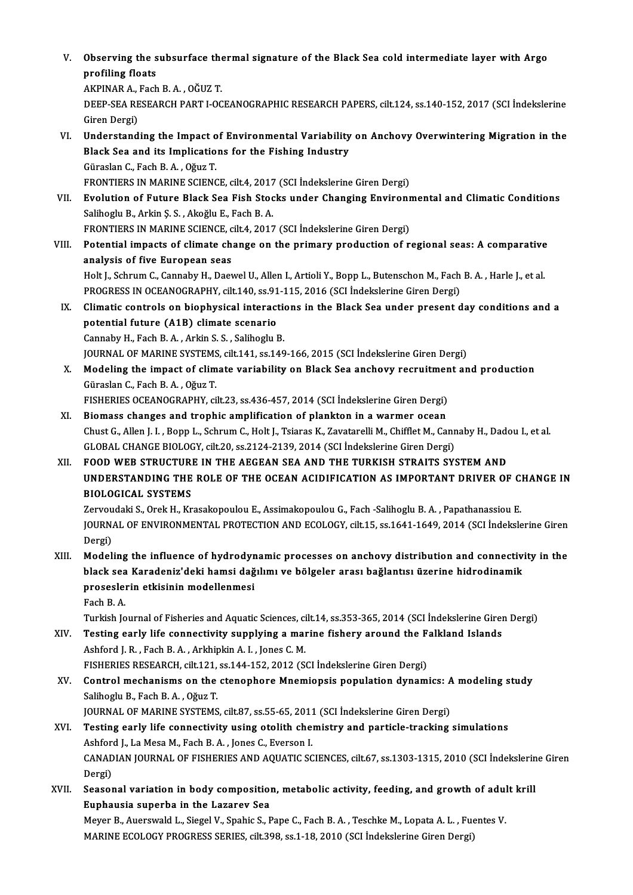V. Observing the subsurface thermal signature of the Black Sea cold intermediate layer with Argo Observing the s<br>profiling floats Observing the subsurface the<br>profiling floats<br>AKPINAR A., Fach B.A. , OĞUZ T.<br>DEEP SEA PESEARCH PART LOC

profiling floats<br>AKPINAR A., Fach B. A. , OĞUZ T.<br>DEEP-SEA RESEARCH PART I-OCEANOGRAPHIC RESEARCH PAPERS, cilt.124, ss.140-152, 2017 (SCI İndekslerine<br>Giren Dergi) AKPINAR A., 1<br>DEEP-SEA RE<br>Giren Dergi)<br>Understand DEEP-SEA RESEARCH PART I-OCEANOGRAPHIC RESEARCH PAPERS, cilt.124, ss.140-152, 2017 (SCI İndekslerine<br>Giren Dergi)<br>VI. Understanding the Impact of Environmental Variability on Anchovy Overwintering Migration in the<br>Plack Se

- Giren Dergi)<br>Understanding the Impact of Environmental Variability<br>Black Sea and its Implications for the Fishing Industry<br>Güraslan G. Fash B.A., Oğuz T Black Sea and its Implications for the Fishing Industry Güraslan C., Fach B. A., Oğuz T. FRONTIERS IN MARINE SCIENCE, cilt.4, 2017 (SCI İndekslerine Giren Dergi) Güraslan C., Fach B. A. , Oğuz T.<br>FRONTIERS IN MARINE SCIENCE, cilt.4, 2017 (SCI İndekslerine Giren Dergi)<br>VII. Byolution of Future Black Sea Fish Stocks under Changing Environmental and Climatic Conditions<br>Seliberly B. Ar
- FRONTIERS IN MARINE SCIENCE, cilt.4, 2017<br>**Evolution of Future Black Sea Fish Stoc**<br>Salihoglu B., Arkin Ş. S. , Akoğlu E., Fach B. A.<br>EPONTIERS IN MARINE SCIENCE, cilt.4, 2017 Evolution of Future Black Sea Fish Stocks under Changing Environr<br>Salihoglu B., Arkin Ş. S. , Akoğlu E., Fach B. A.<br>FRONTIERS IN MARINE SCIENCE, cilt.4, 2017 (SCI İndekslerine Giren Dergi)<br>Petential imnasts of slimate shan Salihoglu B., Arkin Ş. S. , Akoğlu E., Fach B. A.<br>FRONTIERS IN MARINE SCIENCE, cilt.4, 2017 (SCI İndekslerine Giren Dergi)<br>VIII. Potential impacts of climate change on the primary production of regional seas: A comparative
- analysis of five European seas Potential impacts of climate change on the primary production of regional seas: A comparative<br>analysis of five European seas<br>Holt J., Schrum C., Cannaby H., Daewel U., Allen I., Artioli Y., Bopp L., Butenschon M., Fach B.

analysis of five European seas<br>Holt J., Schrum C., Cannaby H., Daewel U., Allen I., Artioli Y., Bopp L., Butenschon M., Fach<br>PROGRESS IN OCEANOGRAPHY, cilt.140, ss.91-115, 2016 (SCI İndekslerine Giren Dergi)<br>Climatia contr Holt J., Schrum C., Cannaby H., Daewel U., Allen I., Artioli Y., Bopp L., Butenschon M., Fach B. A. , Harle J., et al.<br>PROGRESS IN OCEANOGRAPHY, cilt.140, ss.91-115, 2016 (SCI Indekslerine Giren Dergi)<br>IX. Climatic control

- PROGRESS IN OCEANOGRAPHY, cilt.140, ss.91-115, 2016 (SCI Indekslerine Giren Dergi)<br>IX. Climatic controls on biophysical interactions in the Black Sea under present day conditions and a<br>potential future (A1B) climate scenar Cannaby H., Fach B. A., Arkin S. S., Salihoglu B. potential future (A1B) climate scenario<br>Cannaby H., Fach B. A. , Arkin S. S. , Salihoglu B.<br>JOURNAL OF MARINE SYSTEMS, cilt.141, ss.149-166, 2015 (SCI İndekslerine Giren Dergi)<br>Modeling the impact of elimete veniebility on
- X. Modeling the impact of climate variability on Black Sea anchovy recruitment and production JOURNAL OF MARINE SYSTEMS<br>Modeling the impact of clim<br>Güraslan C., Fach B. A. , Oğuz T.<br>FISUEPLES OCEANOCRAPUV. Sİ Modeling the impact of climate variability on Black Sea anchovy recruitmen<br>Güraslan C., Fach B. A. , Oğuz T.<br>FISHERIES OCEANOGRAPHY, cilt.23, ss.436-457, 2014 (SCI İndekslerine Giren Dergi)<br>Biomass shangas and tranhis ampl Güraslan C., Fach B. A. , Oğuz T.<br>FISHERIES OCEANOGRAPHY, cilt.23, ss.436-457, 2014 (SCI İndekslerine Giren Dergi)<br>XI. Biomass changes and trophic amplification of plankton in a warmer ocean<br>Chust C. Allen J. J. Bonn J. Sc
- FISHERIES OCEANOGRAPHY, cilt.23, ss.436-457, 2014 (SCI İndekslerine Giren Dergi)<br>Biomass changes and trophic amplification of plankton in a warmer ocean<br>Chust G., Allen J. I. , Bopp L., Schrum C., Holt J., Tsiaras K., Zava XI. Biomass changes and trophic amplification of plankton in a warmer ocean<br>Chust G., Allen J. I. , Bopp L., Schrum C., Holt J., Tsiaras K., Zavatarelli M., Chifflet M., Cannaby H., Dad<br>GLOBAL CHANGE BIOLOGY, cilt.20, ss.2 Chust G., Allen J. I. , Bopp L., Schrum C., Holt J., Tsiaras K., Zavatarelli M., Chifflet M., Cannaby H., Dad<br>GLOBAL CHANGE BIOLOGY, cilt.20, ss.2124-2139, 2014 (SCI İndekslerine Giren Dergi)<br>XII. FOOD WEB STRUCTURE IN THE
- UNDERSTANDING THE ROLE OF THE OCEAN ACIDIFICATION AS IMPORTANT DRIVER OF CHANGE IN BIOLOGICAL SYSTEMS UNDERSTANDING THE ROLE OF THE OCEAN ACIDIFICATION AS IMPORTANT DRIVER OF C.<br>BIOLOGICAL SYSTEMS<br>Zervoudaki S., Orek H., Krasakopoulou E., Assimakopoulou G., Fach -Salihoglu B. A. , Papathanassiou E.<br>JOUPMAL OF ENVIRONMENTAL

JOURNAL OF ENVIRONMENTAL PROTECTION AND ECOLOGY, cilt.15, ss.1641-1649, 2014 (SCI İndekslerine Giren<br>Dergi) Zervou<br>JOURN<br>Dergi)<br>Model JOURNAL OF ENVIRONMENTAL PROTECTION AND ECOLOGY, cilt.15, ss.1641-1649, 2014 (SCI Indekslerine Giren<br>Dergi)<br>XIII. Modeling the influence of hydrodynamic processes on anchovy distribution and connectivity in the<br>hlack see K

Dergi)<br>Modeling the influence of hydrodynamic processes on anchovy distribution and connectiv<br>black sea Karadeniz'deki hamsi dağılımı ve bölgeler arası bağlantısı üzerine hidrodinamik<br>preseselerin etkisinin modellenmesi Modeling the influence of hydrodyr<br>black sea Karadeniz'deki hamsi dağ<br>proseslerin etkisinin modellenmesi<br>Feeb B.A black sea<br>prosesle:<br>Fach B.A.<br>Turkish Io

Fach B. A.<br>Turkish Journal of Fisheries and Aquatic Sciences, cilt.14, ss.353-365, 2014 (SCI İndekslerine Giren Dergi)

- Fach B. A.<br>Turkish Journal of Fisheries and Aquatic Sciences, cilt.14, ss.353-365, 2014 (SCI İndekslerine Girenty Islands<br>XIV. Testing early life connectivity supplying a marine fishery around the Falkland Islands Turkish Journal of Fisheries and Aquatic Sciences, ci<br>Testing early life connectivity supplying a mai<br>Ashford J. R. , Fach B. A. , Arkhipkin A. I. , Jones C. M.<br>FISUEDIES PESEARCH cit 121 ss 144 152 2012 (S Testing early life connectivity supplying a marine fishery around the F<br>Ashford J. R. , Fach B. A. , Arkhipkin A. I. , Jones C. M.<br>FISHERIES RESEARCH, cilt.121, ss.144-152, 2012 (SCI İndekslerine Giren Dergi)<br>Control mecha Ashford J. R., Fach B. A., Arkhipkin A. I., Jones C. M.<br>FISHERIES RESEARCH, cilt.121, ss.144-152, 2012 (SCI Indekslerine Giren Dergi)<br>XV. Control mechanisms on the ctenophore Mnemiopsis population dynamics: A modeling stud
- FISHERIES RESEARCH, cilt.121,<br>Control mechanisms on the<br>Salihoglu B., Fach B.A., Oğuz T.<br>JOUPNAL OF MARINE SYSTEMS Control mechanisms on the ctenophore Mnemiopsis population dynamics: A<br>Salihoglu B., Fach B. A. , Oğuz T.<br>JOURNAL OF MARINE SYSTEMS, cilt.87, ss.55-65, 2011 (SCI İndekslerine Giren Dergi)<br>Testing early life connectivity us Salihoglu B., Fach B. A. , Oğuz T.<br>JOURNAL OF MARINE SYSTEMS, cilt.87, ss.55-65, 2011 (SCI Indekslerine Giren Dergi)<br>XVI. Testing early life connectivity using otolith chemistry and particle-tracking simulations JOURNAL OF MARINE SYSTEMS, cilt.87, ss.55-65, 2011 (SCI İndekslerine Giren Dergi)
- CANADIAN JOURNAL OF FISHERIES AND AQUATIC SCIENCES, cilt.67, ss.1303-1315, 2010 (SCI İndekslerine Giren<br>Dergi) Ashford J., La Mesa M., Fach B. A., Jones C., Everson I. CANADIAN JOURNAL OF FISHERIES AND AQUATIC SCIENCES, cilt.67, ss.1303-1315, 2010 (SCI Indekslerii<br>Dergi)<br>XVII. Seasonal variation in body composition, metabolic activity, feeding, and growth of adult krill
- Dergi)<br>Seasonal variation in body composition<br>Euphausia superba in the Lazarev Sea<br>Mover B. Auergynkl J. Siagel V. Spekia S. E Seasonal variation in body composition, metabolic activity, feeding, and growth of adul<br>Euphausia superba in the Lazarev Sea<br>Meyer B., Auerswald L., Siegel V., Spahic S., Pape C., Fach B. A. , Teschke M., Lopata A. L. , Fu

Euphausia superba in the Lazarev Sea<br>Meyer B., Auerswald L., Siegel V., Spahic S., Pape C., Fach B. A. , Teschke M., Lopata A. L. , Fuentes V.<br>MARINE ECOLOGY PROGRESS SERIES, cilt.398, ss.1-18, 2010 (SCI İndekslerine Giren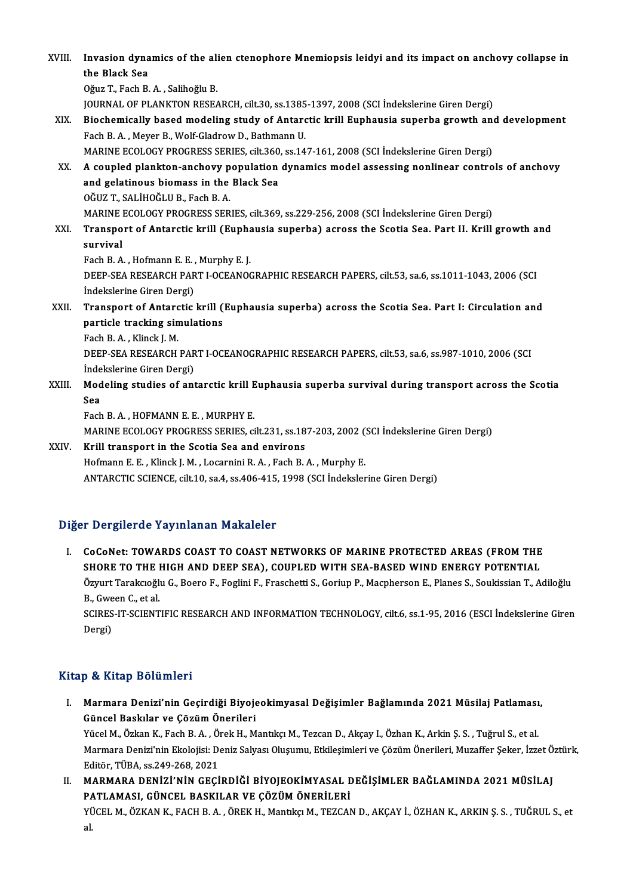XVIII. Invasion dynamics of the alien ctenophore Mnemiopsis leidyi and its impact on anchovy collapse in Invasion dyna<br>the Black Sea<br>Oğuz T. Fach B Invasion dynamics of the ali<br>the Black Sea<br>Oğuz T., Fach B.A. , Salihoğlu B.<br>JOUPNAL OF BLANKTON BESEA the Black Sea<br>Oğuz T., Fach B. A. , Salihoğlu B.<br>JOURNAL OF PLANKTON RESEARCH, cilt.30, ss.1385-1397, 2008 (SCI İndekslerine Giren Dergi)<br>Pieshemiselly based modeling study of Antanstie krill Eupheusia sunarba speuth and Oğuz T., Fach B. A. , Salihoğlu B.<br>JOURNAL OF PLANKTON RESEARCH, cilt.30, ss.1385-1397, 2008 (SCI İndekslerine Giren Dergi)<br>XIX. Biochemically based modeling study of Antarctic krill Euphausia superba growth and develo FOURNAL OF PLANKTON RESEARCH, cilt.30, ss.1385<br>Biochemically based modeling study of Antard<br>Fach B. A. , Meyer B., Wolf-Gladrow D., Bathmann U.<br>MARINE ECOLOCY PROCRESS SERIES, cilt.260, ss.14 Biochemically based modeling study of Antarctic krill Euphausia superba growth and<br>Fach B. A. , Meyer B., Wolf-Gladrow D., Bathmann U.<br>MARINE ECOLOGY PROGRESS SERIES, cilt.360, ss.147-161, 2008 (SCI İndekslerine Giren Derg Fach B. A. , Meyer B., Wolf-Gladrow D., Bathmann U.<br>MARINE ECOLOGY PROGRESS SERIES, cilt.360, ss.147-161, 2008 (SCI İndekslerine Giren Dergi)<br>XX. A coupled plankton-anchovy population dynamics model assessing nonlinear con MARINE ECOLOGY PROGRESS SERIES, cilt.360, ss.147-161, 2008 (SCI Indekslerine Giren Dergi) A coupled plankton-anchovy population dynamics model assessing nonlinear contro<br>and gelatinous biomass in the Black Sea<br>OĞUZ T.. SAL A coupled plankton-anchovy p<br>and gelatinous biomass in the<br>OĞUZ T., SALİHOĞLU B., Fach B. A.<br>MARINE ECOLOCY PROCRESS SER and gelatinous biomass in the Black Sea<br>OĞUZ T., SALİHOĞLU B., Fach B. A.<br>MARINE ECOLOGY PROGRESS SERIES, cilt.369, ss.229-256, 2008 (SCI İndekslerine Giren Dergi)<br>Transport of Antaratia krill (Euphausia superba) asrass th XXI. Transport of Antarctic krill (Euphausia superba) across the Scotia Sea. Part II. Krill growth and<br>survival MARINE<br>Transpo<br>survival<br>Each B A Transport of Antarctic krill (Eupha<br>survival<br>Fach B.A., Hofmann E.E., Murphy E.J.<br>DEEP SEA PESEARCH BART LOCEANOC DEEP-SEA RESEARCH PART I-OCEANOGRAPHIC RESEARCH PAPERS, cilt.53, sa.6, ss.1011-1043, 2006 (SCI Indekslerine Giren Dergi) Fach B. A. , Hofmann E. E. ,<br>DEEP-SEA RESEARCH PAR<br>İndekslerine Giren Dergi)<br>Transport of Antonstic DEEP-SEA RESEARCH PART I-OCEANOGRAPHIC RESEARCH PAPERS, cilt.53, sa.6, ss.1011-1043, 2006 (SCI<br>Indekslerine Giren Dergi)<br>XXII. Transport of Antarctic krill (Euphausia superba) across the Scotia Sea. Part I: Circulation and Indekslerine Giren Dergi)<br>Transport of Antarctic krill (<br>particle tracking simulations<br>Feeb B.A. Klingk LM **Transport of Antarc<br>particle tracking sin<br>Fach B.A., Klinck J. M.<br>DEED SEA DESEADCU** particle tracking simulations<br>Fach B. A. , Klinck J. M.<br>DEEP-SEA RESEARCH PART I-OCEANOGRAPHIC RESEARCH PAPERS, cilt.53, sa.6, ss.987-1010, 2006 (SCI<br>Indekslerine Cirer Dergi) Fach B. A. , Klinck J. M.<br>DEEP-SEA RESEARCH PAR<br>İndekslerine Giren Dergi)<br>Medeling studies of ant DEEP-SEA RESEARCH PART I-OCEANOGRAPHIC RESEARCH PAPERS, cilt.53, sa.6, ss.987-1010, 2006 (SCI<br>İndekslerine Giren Dergi)<br>XXIII. Modeling studies of antarctic krill Euphausia superba survival during transport across the Scot İndekslerine Giren Dergi)<br>Modeling studies of antarctic krill Euphausia superba survival during transport across the Scotia<br>Sea Fach B.A., HOFMANN E.E., MURPHY E. Sea<br>Fach B. A. , HOFMANN E. E. , MURPHY E.<br>MARINE ECOLOGY PROGRESS SERIES, cilt.231, ss.187-203, 2002 (SCI İndekslerine Giren Dergi)<br>Krill transport in the Seetia See and environs Fach B. A., HOFMANN E. E., MURPHY E.<br>MARINE ECOLOGY PROGRESS SERIES, cilt.231, ss.18<br>XXIV. Krill transport in the Scotia Sea and environs MARINE ECOLOGY PROGRESS SERIES, cilt.231, ss.187-203, 2002 (<br>Krill transport in the Scotia Sea and environs<br>Hofmann E. E., Klinck J. M., Locarnini R. A., Fach B. A., Murphy E.<br>ANTAPCTIC SCIENCE silt 10, ss.4.96, 4.15, 1998 Krill transport in the Scotia Sea and environs<br>Hofmann E. E. , Klinck J. M. , Locarnini R. A. , Fach B. A. , Murphy E.<br>ANTARCTIC SCIENCE, cilt.10, sa.4, ss.406-415, 1998 (SCI İndekslerine Giren Dergi)

### Diğer Dergilerde Yayınlanan Makaleler

Iger Dergilerde Yayınlanan Makaleler<br>I. CoCoNet: TOWARDS COAST TO COAST NETWORKS OF MARINE PROTECTED AREAS (FROM THE<br>SHORE TO THE HIGH AND DEER SEA), COURLED WITH SEA RASED WIND ENERGY POTENTIAL T BETSTET TE THYTHING PRINCIPLY<br>CoCoNet: TOWARDS COAST TO COAST NETWORKS OF MARINE PROTECTED AREAS (FROM THE<br>SHORE TO THE HIGH AND DEEP SEA), COUPLED WITH SEA-BASED WIND ENERGY POTENTIAL<br>ÖTTUT TORKERGÖLLG, BOORE E EQUILIE CoCoNet: TOWARDS COAST TO COAST NETWORKS OF MARINE PROTECTED AREAS (FROM THE<br>SHORE TO THE HIGH AND DEEP SEA), COUPLED WITH SEA-BASED WIND ENERGY POTENTIAL<br>Özyurt Tarakcıoğlu G., Boero F., Foglini F., Fraschetti S., Goriup **SHORE TO THE I<br>Özyurt Tarakcıoğlı<br>B., Gween C., et al.<br>SCIPES IT SCIENT** Özyurt Tarakcıoğlu G., Boero F., Foglini F., Fraschetti S., Goriup P., Macpherson E., Planes S., Soukissian T., Adiloğlu<br>B., Gween C., et al.<br>SCIRES-IT-SCIENTIFIC RESEARCH AND INFORMATION TECHNOLOGY, cilt.6, ss.1-95, 2016 B., Gween C., et al.<br>SCIRES-IT-SCIENTIFIC RESEARCH AND INFORMATION TECHNOLOGY, cilt.6, ss.1-95, 2016 (ESCI İndekslerine Giren<br>Dergi)

### Kitap & Kitap Bölümleri

- İtap & Kitap Bölümleri<br>I. Marmara Denizi'nin Geçirdiği Biyojeokimyasal Değişimler Bağlamında 2021 Müsilaj Patlaması,<br>. Güncel Başkılar ve Gözüm Önerileri güncel Baskılar ve Çözüm Önerileri<br>Güncel Baskılar ve Çözüm Önerileri<br>Yüsel M. Özkan K. Fash B. A. Önek H. M Marmara Denizi'nin Geçirdiği Biyojeokimyasal Değişimler Bağlamında 2021 Müsilaj Patlaması<br>Güncel Baskılar ve Çözüm Önerileri<br>Yücel M., Özkan K., Fach B. A. , Örek H., Mantıkçı M., Tezcan D., Akçay I., Özhan K., Arkin Ş. S. Güncel Baskılar ve Çözüm Önerileri<br>Yücel M., Özkan K., Fach B. A. , Örek H., Mantıkçı M., Tezcan D., Akçay I., Özhan K., Arkin Ş. S. , Tuğrul S., et al.<br>Marmara Denizi'nin Ekolojisi: Deniz Salyası Oluşumu, Etkileşimleri ve Yücel M., Özkan K., Fach B. A. , Ö.<br>Marmara Denizi'nin Ekolojisi: D<br>Editör, TÜBA, ss.249-268, 2021<br>MARMARA DENIZI'NIN GECI Marmara Denizi'nin Ekolojisi: Deniz Salyası Oluşumu, Etkileşimleri ve Çözüm Önerileri, Muzaffer Şeker, İzzet Ö<br>Editör, TÜBA, ss.249-268, 2021<br>II. MARMARA DENİZİ'NİN GEÇİRDİĞİ BİYOJEOKİMYASAL DEĞİŞİMLER BAĞLAMINDA 2021 MÜSİ
- Editör, TÜBA, ss.249-268, 2021<br>MARMARA DENİZİ'NİN GEÇİRDİĞİ BİYOJEOKİMYASAL E<br>PATLAMASI, GÜNCEL BASKILAR VE ÇÖZÜM ÖNERİLERİ<br>YÜCEL M. ÖZKAN K. FACH B.A., ÖREK H. Mantlısı M. TEZCAN PATLAMASI, GÜNCEL BASKILAR VE ÇÖZÜM ÖNERİLERİ<br>YÜCEL M., ÖZKAN K., FACH B. A. , ÖREK H., Mantıkçı M., TEZCAN D., AKÇAY İ., ÖZHAN K., ARKIN Ş. S. , TUĞRUL S., et<br>al. P*l*<br>Yl<br>al.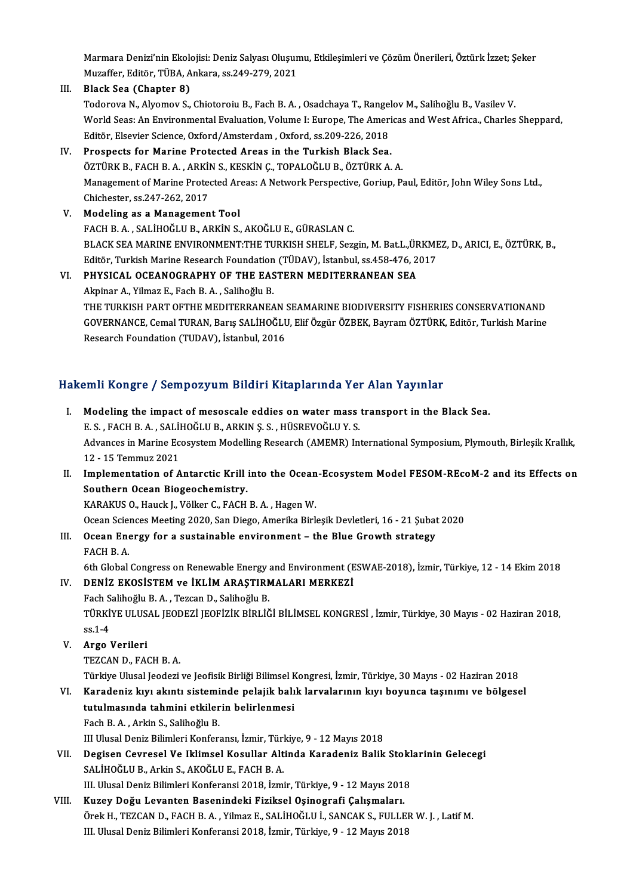Marmara Denizi'nin Ekolojisi: Deniz Salyası Oluşumu, Etkileşimleri ve Çözüm Önerileri, Öztürk İzzet; Şeker<br>Muzeffen Editön TÜBA Ankara 98.249.279.2021 Marmara Denizi'nin Ekolojisi: Deniz Salyası Oluşun<br>Muzaffer, Editör, TÜBA, Ankara, ss.249-279, 2021<br>Plask See (Chanter 9) Marmara Denizi'nin Ekolo<br>Muzaffer, Editör, TÜBA, A<br>III. Black Sea (Chapter 8)

Muzaffer, Editör, TÜBA, Ankara, ss.249-279, 2021<br><mark>Black Sea (Chapter 8)</mark><br>Todorova N., Alyomov S., Chiotoroiu B., Fach B. A. , Osadchaya T., Rangelov M., Salihoğlu B., Vasilev V.<br>Warld Seas: An Environmental Evaluation Volu III. Black Sea (Chapter 8)<br>Todorova N., Alyomov S., Chiotoroiu B., Fach B. A. , Osadchaya T., Rangelov M., Salihoğlu B., Vasilev V.<br>World Seas: An Environmental Evaluation, Volume I: Europe, The Americas and West Africa., Todorova N., Alyomov S., Chiotoroiu B., Fach B. A. , Osadchaya T., Rangel<br>World Seas: An Environmental Evaluation, Volume I: Europe, The Amer<br>Editör, Elsevier Science, Oxford/Amsterdam , Oxford, ss.209-226, 2018<br>Prospects

## IV. Prospects for Marine Protected Areas in the Turkish Black Sea. Editör, Elsevier Science, Oxford/Amsterdam , Oxford, ss.209-226, 2018<br>Prospects for Marine Protected Areas in the Turkish Black Sea.<br>ÖZTÜRK B., FACH B. A. , ARKİN S., KESKİN Ç., TOPALOĞLU B., ÖZTÜRK A. A.<br>Managament of Mar Management of Marine Protected Areas: A Network Perspective, Goriup, Paul, Editör, John Wiley Sons Ltd., Chichester, ss.247-262, 2017 ÖZTÜRK B., FACH B. A. , ARKİ<br>Management of Marine Prote<br>Chichester, ss.247-262, 2017<br>Modeling as a Manageman

- V. Modeling as aManagement Tool FACHB.A. ,SALİHOĞLUB.,ARKİNS.,AKOĞLUE.,GÜRASLANC. BLACK SEA MARINE ENVIRONMENT:THE TURKISH SHELF, Sezgin, M. Bat.L.,ÜRKMEZ, D., ARICI, E., ÖZTÜRK, B., Editör, Turkish Marine Research Foundation (TÜDAV), İstanbul, ss.458-476, 2017 BLACK SEA MARINE ENVIRONMENT:THE TURKISH SHELF, Sezgin, M. Bat.L.,ÜR<br>Editör, Turkish Marine Research Foundation (TÜDAV), İstanbul, ss.458-476, 2<br>VI. PHYSICAL OCEANOGRAPHY OF THE EASTERN MEDITERRANEAN SEA
- Editör, Turkish Marine Research Foundation<br>PHYSICAL OCEANOGRAPHY OF THE EAS<br>Akpinar A., Yilmaz E., Fach B. A. , Salihoğlu B.<br>THE TURKISH BART OFTHE MEDITERRANEA Akpinar A., Yilmaz E., Fach B. A. , Salihoğlu B.<br>THE TURKISH PART OFTHE MEDITERRANEAN SEAMARINE BIODIVERSITY FISHERIES CONSERVATIONAND GOVERNANCE,CemalTURAN,Barış SALİHOĞLU,ElifÖzgürÖZBEK,BayramÖZTÜRK,Editör,TurkishMarine Research Foundation (TUDAV), İstanbul, 2016

### Hakemli Kongre / Sempozyum Bildiri Kitaplarında Yer Alan Yayınlar

- akemli Kongre / Sempozyum Bildiri Kitaplarında Yer Alan Yayınlar<br>I. Modeling the impact of mesoscale eddies on water mass transport in the Black Sea.<br>E.S. FACH R.A. SALİHOČLUR ARKIN S.S. HÜSPEVOČLUV S. E.S., FACH B.A., SALİHOĞLU B., ARKIN Ş.S., HÜSREVOĞLU Y.S.<br>E.S., FACH B.A., SALİHOĞLU B., ARKIN Ş.S., HÜSREVOĞLU Y.S.<br>Advances in Marine Ecosystem Medelling Bessarsh (AMEMB) In Modeling the impact of mesoscale eddies on water mass transport in the Black Sea.<br>E. S. , FACH B. A. , SALİHOĞLU B., ARKIN Ş. S. , HÜSREVOĞLU Y. S.<br>Advances in Marine Ecosystem Modelling Research (AMEMR) International Symp E. S. , FACH B. A. , SALI<br>Advances in Marine Ec<br>12 - 15 Temmuz 2021<br>Implementation of A Advances in Marine Ecosystem Modelling Research (AMEMR) International Symposium, Plymouth, Birleşik Krallık,<br>12 - 15 Temmuz 2021<br>II. Implementation of Antarctic Krill into the Ocean-Ecosystem Model FESOM-REcoM-2 and its Ef 12 - 15 Temmuz 2021<br>II. Implementation of Antarctic Krill into the Ocean-Ecosystem Model FESOM-REcoM-2 and its Effects on<br>Southern Ocean Biogeochemistry. KARAKUS O., Hauck J., Völker C., FACH B. A., Hagen W. Southern Ocean Biogeochemistry.<br>KARAKUS O., Hauck J., Völker C., FACH B. A. , Hagen W.<br>Ocean Sciences Meeting 2020, San Diego, Amerika Birleşik Devletleri, 16 - 21 Şubat 2020<br>Ocean Energy for a sustainable environment - th III. Ocean Energy for a sustainable environment – the Blue Growth strategy FACH B. A. Ocean Science<br>**Ocean Ene**<br>FACH B. A. 6th Global Congress on Renewable environment – the Blue Growth strategy<br>FACH B. A.<br>6th Global Congress on Renewable Energy and Environment (ESWAE-2018), İzmir, Türkiye, 12 - 14 Ekim 2018<br>DENİZ EVOSİSTEM ve İKLİM ARASTIRMAL IV. DENİZ EKOSİSTEM ve İKLİM ARAŞTIRMALARI MERKEZİ 6th Global Congress on Renewable Energy<br>DENİZ EKOSİSTEM ve İKLİM ARAŞTIRN<br>Fach Salihoğlu B.A., Tezcan D., Salihoğlu B.<br>TÜRKİVE III USAL IEODEZİ IEOFİZİK RİRLİĞ TÜRKİYE ULUSAL JEODEZİ JEOFİZİK BİRLİĞİ BİLİMSEL KONGRESİ , İzmir, Türkiye, 30 Mayıs - 02 Haziran 2018,<br>ss.1-4 Fach Salihoğlu B. A., Tezcan D., Salihoğlu B. V. Argo Verileri TEZCAN D., FACH B.A. Argo Verileri<br>TEZCAN D., FACH B. A.<br>Türkiye Ulusal Jeodezi ve Jeofisik Birliği Bilimsel Kongresi, İzmir, Türkiye, 30 Mayıs - 02 Haziran 2018<br>Kanadaniz kun akıntı sisteminde polajik balık lervalarının kun beyynge taşınımı v TEZCAN D., FACH B. A.<br>Türkiye Ulusal Jeodezi ve Jeofisik Birliği Bilimsel Kongresi, İzmir, Türkiye, 30 Mayıs - 02 Haziran 2018<br>VI. Karadeniz kıyı akıntı sisteminde pelajik balık larvalarının kıyı boyunca taşınımı ve bö Türkiye Ulusal Jeodezi ve Jeofisik Birliği Bilimsel k<br>Karadeniz kıyı akıntı sisteminde pelajik balı<br>tutulmasında tahmini etkilerin belirlenmesi<br>Feeb B.A. Arkin S. Selibeğlu B Karadeniz kıyı akıntı sistemi<br>tutulmasında tahmini etkiler<br>Fach B.A., Arkin S., Salihoğlu B.<br>III Illusal Deniz Bilimleri Konfor tutulmasında tahmini etkilerin belirlenmesi<br>Fach B. A. , Arkin S., Salihoğlu B.<br>III Ulusal Deniz Bilimleri Konferansı, İzmir, Türkiye, 9 - 12 Mayıs 2018<br>Degisan Caurasal Ve Ilrlimaal Kasullar, Altinda Karadaniz Balik Fach B. A. , Arkin S., Salihoğlu B.<br>III Ulusal Deniz Bilimleri Konferansı, İzmir, Türkiye, 9 - 12 Mayıs 2018<br>VII. Degisen Cevresel Ve Iklimsel Kosullar Altinda Karadeniz Balik Stoklarinin Gelecegi<br>SALİHOĞLU B., Arkin S
- III Ulusal Deniz Bilimleri Konferansı, İzmir, Türl<br><mark>Degisen Cevresel Ve Iklimsel Kosullar Alt</mark><br>SALİHOĞLU B., Arkin S., AKOĞLU E., FACH B. A.<br>III Ulusal Deniz Bilimleri Konferansi 2019, İsmi III. Ulusal Deniz Bilimleri Konferansi 2018, İzmir, Türkiye, 9 - 12 Mayıs 2018
- VIII. Kuzey Doğu Levanten Basenindeki Fiziksel Oşinografi Çalışmaları. III. Ulusal Deniz Bilimleri Konferansi 2018, İzmir, Türkiye, 9 - 12 Mayıs 2018<br><mark>Kuzey Doğu Levanten Basenindeki Fiziksel Oşinografi Çalışmaları.</mark><br>Örek H., TEZCAN D., FACH B. A. , Yilmaz E., SALİHOĞLU İ., SANCAK S., FULLER Kuzey Doğu Levanten Basenindeki Fiziksel Oşinografi Çalışmaları.<br>Örek H., TEZCAN D., FACH B. A. , Yilmaz E., SALİHOĞLU İ., SANCAK S., FULLEI<br>III. Ulusal Deniz Bilimleri Konferansi 2018, İzmir, Türkiye, 9 - 12 Mayıs 2018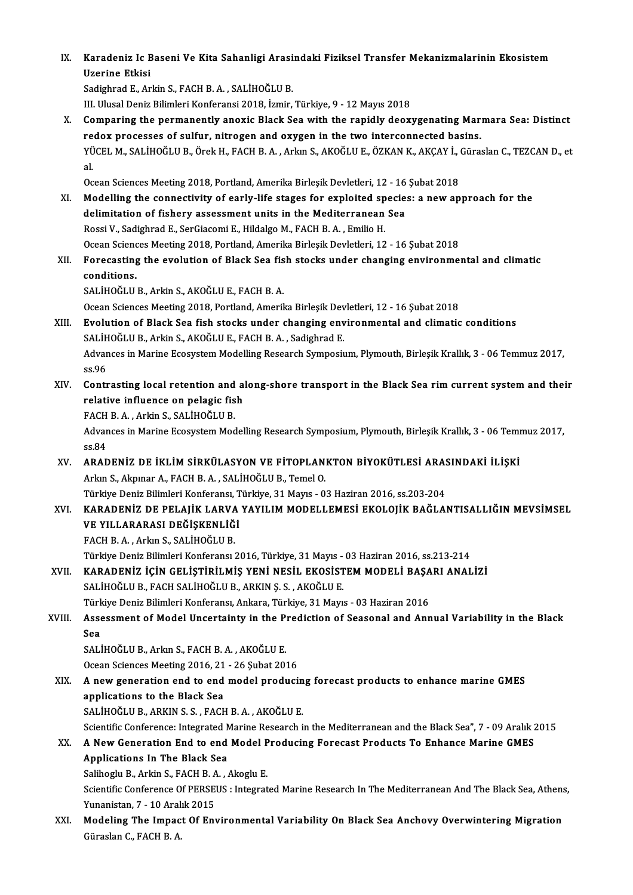IX. Karadeniz Ic Baseni Ve Kita Sahanligi Arasindaki Fiziksel Transfer Mekanizmalarinin Ekosistem Karadeniz Ic E<br>Uzerine Etkisi<br>Sedishred E. Ar

Uzerine Etkisi<br>Sadighrad E., Arkin S., FACH B. A. , SALİHOĞLU B.

III. Ulusal Deniz Bilimleri Konferansi 2018, İzmir, Türkiye, 9 - 12 Mayıs 2018

Sadighrad E., Arkin S., FACH B. A. , SALİHOĞLU B.<br>III. Ulusal Deniz Bilimleri Konferansi 2018, İzmir, Türkiye, 9 - 12 Mayıs 2018<br>X. Comparing the permanently anoxic Black Sea with the rapidly deoxygenating Marmara Sea: Dis III. Ulusal Deniz Bilimleri Konferansi 2018, İzmir, Türkiye, 9 - 12 Mayıs 2018<br>Comparing the permanently anoxic Black Sea with the rapidly deoxygenating Mar<br>redox processes of sulfur, nitrogen and oxygen in the two interco Comparing the permanently anoxic Black Sea with the rapidly deoxygenating Marmara Sea: Distinct<br>redox processes of sulfur, nitrogen and oxygen in the two interconnected basins.<br>YÜCEL M., SALİHOĞLU B., Örek H., FACH B. A. , re<br>YÜ<br>al YÜCEL M., SALİHOĞLU B., Örek H., FACH B. A. , Arkın S., AKOĞLU E., ÖZKAN K., AKÇAY İ., (<br>al.<br>Ocean Sciences Meeting 2018, Portland, Amerika Birleşik Devletleri, 12 - 16 Şubat 2018<br>Modelling the sennestivity of early life s

- al.<br>Ocean Sciences Meeting 2018, Portland, Amerika Birleşik Devletleri, 12 16 Şubat 2018<br>XI. Modelling the connectivity of early-life stages for exploited species: a new approach for the<br>delimitation of fishery assessmen Ocean Sciences Meeting 2018, Portland, Amerika Birleşik Devletleri, 12 - 16<br>Modelling the connectivity of early-life stages for exploited specie<br>delimitation of fishery assessment units in the Mediterranean Sea<br>Rossi V, Sa Modelling the connectivity of early-life stages for exploited sp<br>delimitation of fishery assessment units in the Mediterranean<br>Rossi V., Sadighrad E., SerGiacomi E., Hildalgo M., FACH B.A. , Emilio H.<br>Qosan Sciences Meetin delimitation of fishery assessment units in the Mediterranean Sea<br>Rossi V., Sadighrad E., SerGiacomi E., Hildalgo M., FACH B. A. , Emilio H.<br>Ocean Sciences Meeting 2018, Portland, Amerika Birleşik Devletleri, 12 - 16 Şubat Rossi V., Sadighrad E., SerGiacomi E., Hildalgo M., FACH B. A. , Emilio H.<br>Ocean Sciences Meeting 2018, Portland, Amerika Birleşik Devletleri, 12 - 16 Şubat 2018<br>XII. Forecasting the evolution of Black Sea fish stocks
- **Ocean Scienc<br>Forecasting<br>conditions.**<br>SALIHOČLU Forecasting the evolution of Black Sea fis<br>conditions.<br>SALİHOĞLU B., Arkin S., AKOĞLU E., FACH B. A.<br>Qaean Sajanses Mastins 2019. Portland, Ameril conditions.<br>SALİHOĞLU B., Arkin S., AKOĞLU E., FACH B. A.<br>Ocean Sciences Meeting 2018, Portland, Amerika Birleşik Devletleri, 12 - 16 Şubat 2018

XIII. Evolution of Black Sea fish stocks under changing environmental and climatic conditions Ocean Sciences Meeting 2018, Portland, Amerika Birleşik Dev<br>Evolution of Black Sea fish stocks under changing env<br>SALİHOĞLU B., Arkin S., AKOĞLU E., FACH B. A. , Sadighrad E.<br>Advances in Marine Feesystem Modelling Bessensk Evolution of Black Sea fish stocks under changing environmental and climatic conditions<br>SALİHOĞLU B., Arkin S., AKOĞLU E., FACH B. A. , Sadighrad E.<br>Advances in Marine Ecosystem Modelling Research Symposium, Plymouth, Birl SALİH<br>Advar<br>ss.96<br>Cantr Advances in Marine Ecosystem Modelling Research Symposium, Plymouth, Birleşik Krallık, 3 - 06 Temmuz 2017,<br>SS.96<br>XIV. Contrasting local retention and along-shore transport in the Black Sea rim current system and their<br>rela

ss.96<br>XIV. Contrasting local retention and along-shore transport in the Black Sea rim current system and their<br>relative influence on pelagic fish Contrasting local retention and<br>relative influence on pelagic fis<br>FACH B.A., Arkin S., SALİHOĞLU B.<br>Advances in Marine Feeswstem Med

Advances in Marine Ecosystem Modelling Research Symposium, Plymouth, Birleşik Krallık, 3 - 06 Temmuz 2017, ss.84 FACH<br>Advar<br>ss.84<br>APAF Advances in Marine Ecosystem Modelling Research Symposium, Plymouth, Birleşik Krallık, 3 - 06 Temi<br>ss.84<br>XV. ARADENİZ DE İKLİM SİRKÜLASYON VE FİTOPLANKTON BİYOKÜTLESİ ARASINDAKİ İLİŞKİ

ss.84<br><mark>ARADENİZ DE İKLİM SİRKÜLASYON VE FİTOPLAN</mark><br>Arkın S., Akpınar A., FACH B. A. , SALİHOĞLU B., Temel O.<br>Türkiye Deniz Bilimleri Kenferansı, Türkiye, 31 Meyre, Q ARADENİZ DE İKLİM SİRKÜLASYON VE FİTOPLANKTON BİYOKÜTLESİ ARAS<br>Arkın S., Akpınar A., FACH B. A. , SALİHOĞLU B., Temel O.<br>Türkiye Deniz Bilimleri Konferansı, Türkiye, 31 Mayıs - 03 Haziran 2016, ss.203-204<br>KARADENİZ DE BELA

Arkın S., Akpınar A., FACH B. A. , SALİHOĞLU B., Temel O.<br>Türkiye Deniz Bilimleri Konferansı, Türkiye, 31 Mayıs - 03 Haziran 2016, ss.203-204<br>XVI. KARADENİZ DE PELAJİK LARVA YAYILIM MODELLEMESİ EKOLOJİK BAĞLANTISALLIĞIN ME Türkiye Deniz Bilimleri Konferansı, T<br>KARADENİZ DE PELAJİK LARVA<br>VE YILLARARASI DEĞİŞKENLİĞİ<br>EACH B.A. Arlan S. SALİHOĞLU P KARADENİZ DE PELAJİK LARVA<br>VE YILLARARASI DEĞİŞKENLİĞ<br>FACH B. A. , Arkın S., SALİHOĞLU B.<br>Türkiye Deniz Bilimleri Kerferanev VE YILLARARASI DEĞİŞKENLİĞİ<br>FACH B. A. , Arkın S., SALİHOĞLU B.<br>Türkiye Deniz Bilimleri Konferansı 2016, Türkiye, 31 Mayıs - 03 Haziran 2016, ss.213-214

FACH B. A. , Arkın S., SALİHOĞLU B.<br>Türkiye Deniz Bilimleri Konferansı 2016, Türkiye, 31 Mayıs - 03 Haziran 2016, ss.213-214<br>XVII. KARADENİZ İÇİN GELİŞTİRİLMİŞ YENİ NESİL EKOSİSTEM MODELİ BAŞARI ANALİZİ SALİHOĞLU B., FACH SALİHOĞLU B., ARKIN Ş. S., AKOĞLU E. KARADENİZ İÇİN GELİŞTİRİLMİŞ YENİ NESİL EKOSİSTEM MODELİ BAŞA<br>SALİHOĞLU B., FACH SALİHOĞLU B., ARKIN Ş. S. , AKOĞLU E.<br>Türkiye Deniz Bilimleri Konferansı, Ankara, Türkiye, 31 Mayıs - 03 Haziran 2016<br>Assessment of Model Uns

SALİHOĞLU B., FACH SALİHOĞLU B., ARKIN Ş. S. , AKOĞLU E.<br>Türkiye Deniz Bilimleri Konferansı, Ankara, Türkiye, 31 Mayıs - 03 Haziran 2016<br>XVIII. Assessment of Model Uncertainty in the Prediction of Seasonal and Annual V Türkiye Deniz Bilimleri Konferansı, Ankara, Türkiye, 31 Mayıs - 03 Haziran 2016<br>Assessment of Model Uncertainty in the Prediction of Seasonal and Anı<br>Sea Assessment of Model Uncertainty in the P:<br>Sea<br>SALİHOĞLU B., Arkın S., FACH B. A. , AKOĞLU E.<br>Osean Ssianses Meeting 2016-21 - 26 Subet 20.

SALİHOĞLU B., Arkın S., FACH B. A., AKOĞLU E.<br>Ocean Sciences Meeting 2016, 21 - 26 Şubat 2016

SALİHOĞLU B., Arkın S., FACH B. A. , AKOĞLU E.<br>Ocean Sciences Meeting 2016, 21 - 26 Şubat 2016<br>XIX. A new generation end to end model producing forecast products to enhance marine GMES **Ocean Sciences Meeting 2016, 21<br>A new generation end to end<br>applications to the Black Sea<br>SALIHOČLU B ADKIN S.S. FACH** A new generation end to end model producin<br>applications to the Black Sea<br>SALİHOĞLU B., ARKIN S. S. , FACH B. A. , AKOĞLU E.<br>Scientific Conference: Integrated Marine Bessensh i applications to the Black Sea<br>SALİHOĞLU B., ARKIN S. S. , FACH B. A. , AKOĞLU E.<br>Scientific Conference: Integrated Marine Research in the Mediterranean and the Black Sea", 7 - 09 Aralık 2015<br>A Naw Concestion End to and Mod

## SALİHOĞLU B., ARKIN S. S. , FACH B. A. , AKOĞLU E.<br>Scientific Conference: Integrated Marine Research in the Mediterranean and the Black Sea", 7 - 09 Aralık 2<br>XX. A New Generation End to end Model Producing Forecast Pro Scientific Conference: Integrated N<br>A New Generation End to end<br>Applications In The Black Sea A New Generation End to end Model P<br>Applications In The Black Sea<br>Salihoglu B., Arkin S., FACH B.A. , Akoglu E.<br>Scientific Conference Of PERSEUS : Integrat

Applications In The Black Sea<br>Salihoglu B., Arkin S., FACH B. A. , Akoglu E.<br>Scientific Conference Of PERSEUS : Integrated Marine Research In The Mediterranean And The Black Sea, Athens, Salihoglu B., Arkin S., FACH B. A<br>Scientific Conference Of PERSE<br>Yunanistan, 7 - 10 Aralık 2015<br>Modeling The Impect Of Ent Scientific Conference Of PERSEUS : Integrated Marine Research In The Mediterranean And The Black Sea, Athens<br>Yunanistan, 7 - 10 Aralık 2015<br>XXI. Modeling The Impact Of Environmental Variability On Black Sea Anchovy Overwin

Yunanistan, 7 - 10 Aralık 2015<br>Modeling The Impact Of Environmental Variability On Black Sea Anchovy Overwintering Migration<br>Güraslan C., FACH B. A.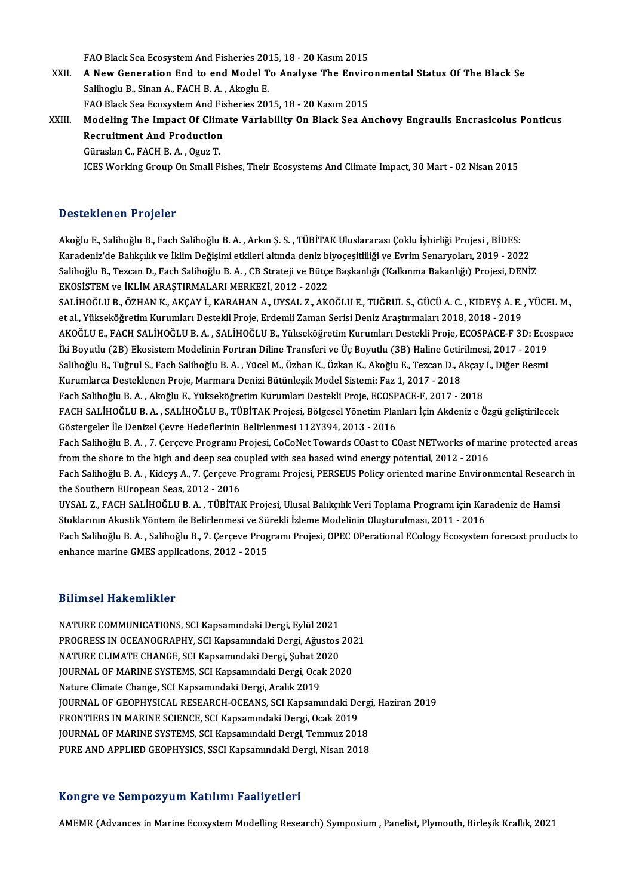FAO Black Sea Ecosystem And Fisheries 2015, 18 - 20 Kasım 2015<br>A Naw Concration End to and Model Te Anglyse The Enviro

FAO Black Sea Ecosystem And Fisheries 2015, 18 - 20 Kasım 2015<br>XXII. A New Generation End to end Model To Analyse The Environmental Status Of The Black Se FAO Black Sea Ecosystem And Fisheries 2014<br>**A New Generation End to end Model T**<br>Salihoglu B., Sinan A., FACH B.A. , Akoglu E. A New Generation End to end Model To Analyse The Enviro<br>Salihoglu B., Sinan A., FACH B. A. , Akoglu E.<br>FAO Black Sea Ecosystem And Fisheries 2015, 18 - 20 Kasım 2015<br>Modeling The Imnest Of Climate Variability On Black Sea Salihoglu B., Sinan A., FACH B. A. , Akoglu E.<br>FAO Black Sea Ecosystem And Fisheries 2015, 18 - 20 Kasım 2015<br>XXIII. Modeling The Impact Of Climate Variability On Black Sea Anchovy Engraulis Encrasicolus Ponticus<br>Pecturime

FAO Black Sea Ecosystem And Fisheries 2015, 18 - 20 Kasım 2015<br>Modeling The Impact Of Climate Variability On Black Sea A<br>Recruitment And Production<br>Güraslan C., FACH B. A., Oguz T. Modeling The Impact Of Clim<br>Recruitment And Production<br>Güraslan C., FACH B. A. , Oguz T.<br>ICES Working Croup Op Small E ICES Working Group On Small Fishes, Their Ecosystems And Climate Impact, 30 Mart - 02 Nisan 2015

### Desteklenen Projeler

Akoğlu E., Salihoğlu B., Fach Salihoğlu B.A., Arkın S.S., TÜBİTAK Uluslararası Çoklu İsbirliği Projesi , BİDES: B SSSSKRSKON I I SYSSI<br>Akoğlu E., Salihoğlu B., Fach Salihoğlu B. A. , Arkın Ş. S. , TÜBİTAK Uluslararası Çoklu İşbirliği Projesi , BİDES:<br>Karadeniz'de Balıkçılık ve İklim Değişimi etkileri altında deniz biyoçeşitliliği ve Salihoğlu B., Tezcan D., Fach Salihoğlu B. A. , CB Strateji ve Bütçe Başkanlığı (Kalkınma Bakanlığı) Projesi, DENİZ<br>EKOSİSTEM ve İKLİM ARAŞTIRMALARI MERKEZİ, 2012 - 2022 Karadeniz'de Balıkçılık ve İklim Değişimi etkileri altında deniz bi<br>Salihoğlu B., Tezcan D., Fach Salihoğlu B. A. , CB Strateji ve Bütçe<br>EKOSİSTEM ve İKLİM ARAŞTIRMALARI MERKEZİ, 2012 - 2022<br>SALİHOĞLU B. ÖZHAN K. AKÇAY İ. Salihoğlu B., Tezcan D., Fach Salihoğlu B. A. , CB Strateji ve Bütçe Başkanlığı (Kalkınma Bakanlığı) Projesi, DENİZ<br>EKOSİSTEM ve İKLİM ARAŞTIRMALARI MERKEZİ, 2012 - 2022<br>SALİHOĞLU B., ÖZHAN K., AKÇAY İ., KARAHAN A., UYSAL

EKOSİSTEM ve İKLİM ARAŞTIRMALARI MERKEZİ, 2012 - 2022<br>SALİHOĞLU B., ÖZHAN K., AKÇAY İ., KARAHAN A., UYSAL Z., AKOĞLU E., TUĞRUL S., GÜCÜ A. C. , KIDEYŞ A. E.<br>et al., Yükseköğretim Kurumları Destekli Proje, Erdemli Zaman Se SALİHOĞLU B., ÖZHAN K., AKÇAY İ., KARAHAN A., UYSAL Z., AKOĞLU E., TUĞRUL S., GÜCÜ A. C. , KIDEYŞ A. E. , YÜCEL M.,<br>et al., Yükseköğretim Kurumları Destekli Proje, Erdemli Zaman Serisi Deniz Araştırmaları 2018, 2018 - 2019 et al., Yükseköğretim Kurumları Destekli Proje, Erdemli Zaman Serisi Deniz Araştırmaları 2018, 2018 - 2019 AKOĞLU E., FACH SALİHOĞLU B. A. , SALİHOĞLU B., Yükseköğretim Kurumları Destekli Proje, ECOSPACE-F 3D: Ecospace<br>İki Boyutlu (2B) Ekosistem Modelinin Fortran Diline Transferi ve Üç Boyutlu (3B) Haline Getirilmesi, 2017 - 20 İki Boyutlu (2B) Ekosistem Modelinin Fortran Diline Transferi ve Üç Boyutlu (3B) Haline Getirilmesi, 2017 - 2019 Salihoğlu B., Tuğrul S., Fach Salihoğlu B. A., Yücel M., Özhan K., Özkan K., Akoğlu E., Tezcan D., Akçay I., Diğer Resmi FACH SALİHOĞLU B. A. , SALİHOĞLU B., TÜBİTAK Projesi, Bölgesel Yönetim Planları İçin Akdeniz e Özgü geliştirilecek<br>Göstergeler İle Denizel Cevre Hedeflerinin Belirlenmesi 112Y394. 2013 - 2016 Fach Salihoğlu B. A., Akoğlu E., Yükseköğretim Kurumları Destekli Proje, ECOSPACE-F, 2017 - 2018 FACH SALİHOĞLU B. A. , SALİHOĞLU B., TÜBİTAK Projesi, Bölgesel Yönetim Planları İçin Akdeniz e Özgü geliştirilecek<br>Göstergeler İle Denizel Çevre Hedeflerinin Belirlenmesi 112Y394, 2013 - 2016<br>Fach Salihoğlu B. A. , 7. Çerç Göstergeler İle Denizel Çevre Hedeflerinin Belirlenmesi 112Y394, 2013 - 2016<br>Fach Salihoğlu B. A. , 7. Çerçeve Programı Projesi, CoCoNet Towards COast to COast NETworks of mai<br>from the shore to the high and deep sea couple Fach Salihoğlu B. A. , 7. Çerçeve Programı Projesi, CoCoNet Towards COast to COast NETworks of marine protected areas<br>from the shore to the high and deep sea coupled with sea based wind energy potential, 2012 - 2016<br>Fach S from the shore to the high and deep sea coupled with sea based wind energy potential, 2012 - 2016<br>Fach Salihoğlu B. A. , Kideyş A., 7. Çerçeve Programı Projesi, PERSEUS Policy oriented marine Environmental Research in<br>the Fach Salihoğlu B. A. , Kideyş A., 7. Çerçeve Programı Projesi, PERSEUS Policy oriented marine Environmental Research<br>the Southern EUropean Seas, 2012 - 2016<br>UYSAL Z., FACH SALİHOĞLU B. A. , TÜBİTAK Projesi, Ulusal Balıkçıl the Southern EUropean Seas, 2012 - 2016<br>UYSAL Z., FACH SALİHOĞLU B. A. , TÜBİTAK Projesi, Ulusal Balıkçılık Veri Toplama Programı için Kar<br>Stoklarının Akustik Yöntem ile Belirlenmesi ve Sürekli İzleme Modelinin Oluşturulma UYSAL Z., FACH SALİHOĞLU B. A. , TÜBİTAK Projesi, Ulusal Balıkçılık Veri Toplama Programı için Karadeniz de Hamsi<br>Stoklarının Akustik Yöntem ile Belirlenmesi ve Sürekli İzleme Modelinin Oluşturulması, 2011 - 2016<br>Fach Sali Stoklarının Akustik Yöntem ile Belirlenmesi ve Sürekli İzleme Modelinin Oluşturulması, 2011 - 2016<br>Fach Salihoğlu B. A. , Salihoğlu B., 7. Çerçeve Programı Projesi, OPEC OPerational ECology Ecosystem forecast products to<br>e

### Bilimsel Hakemlikler

NATURE COMMUNICATIONS, SCI Kapsamındaki Dergi, Eylül 2021 PANINGGI AMALGINANIST<br>NATURE COMMUNICATIONS, SCI Kapsamındaki Dergi, Eylül 2021<br>PROGRESS IN OCEANOGRAPHY, SCI Kapsamındaki Dergi, Ağustos 2021<br>NATURE CLIMATE CHANCE, SCI Kapsamındaki Dergi, Subat 2020 NATURE COMMUNICATIONS, SCI Kapsamındaki Dergi, Eylül 2021<br>PROGRESS IN OCEANOGRAPHY, SCI Kapsamındaki Dergi, Ağustos<br>NATURE CLIMATE CHANGE, SCI Kapsamındaki Dergi, Şubat 2020<br>JOUPNAL OE MARINE SYSTEMS, SCI Kapsamındaki Derg PROGRESS IN OCEANOGRAPHY, SCI Kapsamındaki Dergi, Ağustos 202<br>NATURE CLIMATE CHANGE, SCI Kapsamındaki Dergi, Şubat 2020<br>JOURNAL OF MARINE SYSTEMS, SCI Kapsamındaki Dergi, Ocak 2020<br>Nature Climate Change, SCI Kapsamındaki D NATURE CLIMATE CHANGE, SCI Kapsamındaki Dergi, Şubat 2020<br>JOURNAL OF MARINE SYSTEMS, SCI Kapsamındaki Dergi, Ocak 2020<br>Nature Climate Change, SCI Kapsamındaki Dergi, Aralık 2019 JOURNAL OF MARINE SYSTEMS, SCI Kapsamındaki Dergi, Ocak 2020<br>Nature Climate Change, SCI Kapsamındaki Dergi, Aralık 2019<br>JOURNAL OF GEOPHYSICAL RESEARCH-OCEANS, SCI Kapsamındaki Dergi, Haziran 2019<br>ERONTIERS IN MARINE SCIEN Nature Climate Change, SCI Kapsamındaki Dergi, Aralık 2019<br>JOURNAL OF GEOPHYSICAL RESEARCH-OCEANS, SCI Kapsamındaki De<br>FRONTIERS IN MARINE SCIENCE, SCI Kapsamındaki Dergi, Ocak 2019<br>JOURNAL OF MARINE SYSTEMS, SCI Kapsamınd JOURNAL OF GEOPHYSICAL RESEARCH-OCEANS, SCI Kapsamındaki Derg<br>FRONTIERS IN MARINE SCIENCE, SCI Kapsamındaki Dergi, Ocak 2019<br>JOURNAL OF MARINE SYSTEMS, SCI Kapsamındaki Dergi, Temmuz 2018<br>PURE AND APPLIED CEOPHYSICS, SSCI FRONTIERS IN MARINE SCIENCE, SCI Kapsamındaki Dergi, Ocak 2019<br>JOURNAL OF MARINE SYSTEMS, SCI Kapsamındaki Dergi, Temmuz 2018<br>PURE AND APPLIED GEOPHYSICS, SSCI Kapsamındaki Dergi, Nisan 2018

### Kongre ve SempozyumKatılımı Faaliyetleri

AMEMR (Advances in Marine Ecosystem Modelling Research) Symposium, Panelist, Plymouth, Birlesik Krallık, 2021